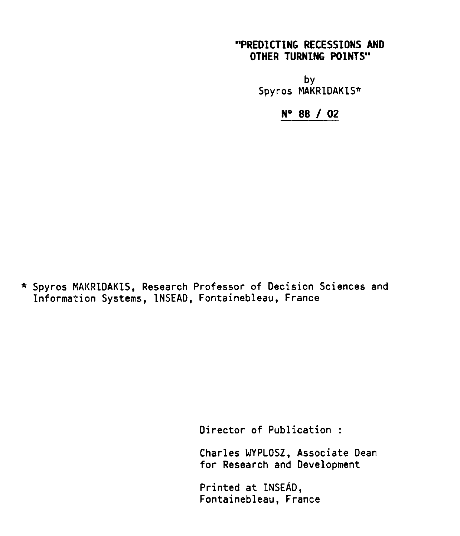# "PREDICTING RECESSIONS AND OTHER TURNING POINTS"

by Spyros MAKRIDAKIS\*

N° 88 / 02

\* Spyros MAKRIDAKIS, Research Professor of Decision Sciences and Information Systems, 1NSEAD, Fontainebleau, France

Director of Publication :

Charles WYPLOSZ, Associate Dean for Research and Development

Printed at INSEAD, Fontainebleau, France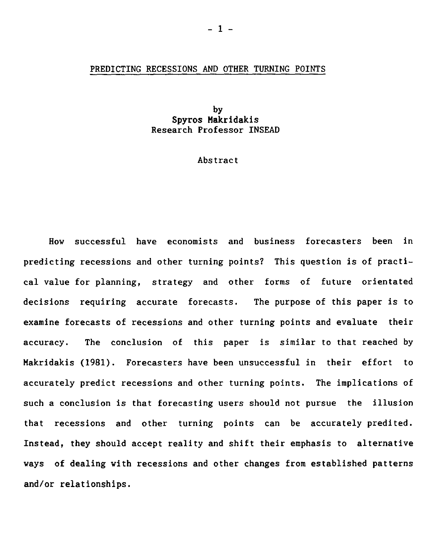#### PREDICTING RECESSIONS AND OTHER TURNING POINTS

### by Spyros Makridakis Research Professor INSEAD

### Abstract

How successful have economists and business forecasters been in predicting recessions and other turning points? This question is of practical value for planning, strategy and other forms of future orientated How successful have economists and business forecasters been in<br>predicting recessions and other turning points? This question is of practi-<br>cal value for planning, strategy and other forms of future orientated<br>decisions re examine forecasts of recessions and other turning points and evaluate their How successful have economists and business forecasters been in<br>predicting recessions and other turning points? This question is of practi-<br>cal value for planning, strategy and other forms of future orientated<br>decisions re Makridakis (1981). Forecasters have been unsuccessful in their effort to accurately predict recessions and other turning points. The implications of such a conclusion is that forecasting users should not pursue the illusion that recessions and other turning points can be accurately predited. Instead, they should accept reality and shift their emphasis to alternative ways of dealing with recessions and other changes from established patterns and/or relationships.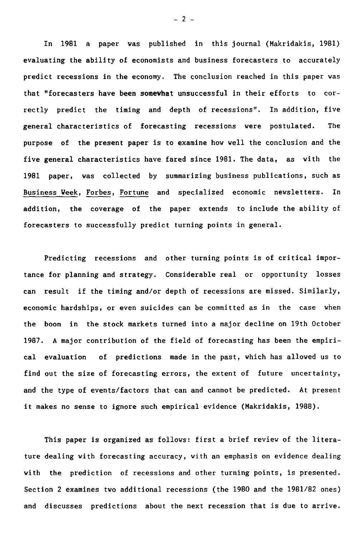In 1981 a paper was published in this journal (Makridakis, 1981) evaluating the ability of economists and business forecasters to accurately predict recessions in the economy. The conclusion reached in this paper was that "forecasters have been **somewhat** unsuccessful in their efforts to correctly predict the timing and depth of recessions". In addition, five In 1981 a paper was published in this journal (Makridakis, 1981)<br>evaluating the ability of economists and business forecasters to accurately<br>predict recessions in the economy. The conclusion reached in this paper was<br>that purpose of the present paper is to examine how well the conclusion and the five general characteristics have fared since 1981. The data, as with the 1981 paper, was collected by summarizing business publications, such as Business Week, Forbes, Fortune and specialized economic newsletters. In addition, the coverage of the paper extends to include the ability of forecasters to successfully predict turning points in general.

Predicting recessions and other turning points is of critical importance for planning and strategy. Considerable real or opportunity losses can result if the timing and/or depth of recessions are missed. Similarly, economic hardships, or even suicides can be committed as in the case when the boom in the stock markets turned into a major decline on 19th October 1987. A major contribution of the field of forecasting has been the empiritance for planning and strategy. Considerable real or opportunity losses<br>can result if the timing and/or depth of recessions are missed. Similarly,<br>economic hardships, or even suicides can be committed as in the case wher<br> find out the size of forecasting errors, the extent of future uncertainty, and the type of events/factors that can and cannot be predicted. At present it makes no sense to ignore such empirical evidence (Makridakis, 1988).

This paper is organized as follows: first a brief review of the literature dealing with forecasting accuracy, with an emphasis on evidence dealing with the prediction of recessions and other turning points, is presented. Section 2 examines two additional recessions (the 1980 and the 1981/82 ones) and discusses predictions about the next recession that is due to arrive.

 $- 2 -$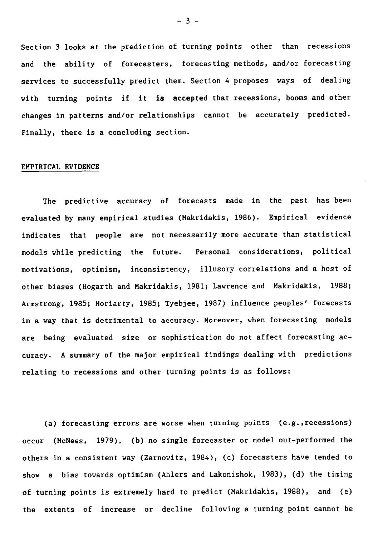Section 3 looks at the prediction of turning points other than recessions and the ability of forecasters, forecasting methods, and/or forecasting services to successfully predict them. Section 4 proposes ways of dealing with turning points if **it is** accepted that recessions, booms and other changes in patterns and/or relationships cannot be accurately predicted. Finally, there is a concluding section.

### EMPIRICAL EVIDENCE

The predictive accuracy of forecasts made in the past has been evaluated by many empirical studies (Makridakis, 1986). Empirical evidence indicates that people are not necessarily more accurate than statistical EMPIRICAL EVIDENCE<br>The predictive accuracy of forecasts made in the past has been<br>evaluated by many empirical studies (Makridakis, 1986). Empirical evidence<br>indicates that people are not necessarily more accurate than stat motivations, optimism, inconsistency, illusory correlations and a host of other biases (Hogarth and Makridakis, 1981; Lawrence and Makridakis, 1988; Armstrong, 1985; Moriarty, 1985; Tyebjee, 1987) influence peoples' forecasts in a way that is detrimental to accuracy. Moreover, when forecasting models are being evaluated size or sophistication do not affect forecasting accuracy. A summary of the major empirical findings dealing with predictions relating to recessions and other turning points is as follows:

(a) forecasting errors are worse when turning points (e.g.,recessions) occur (McNees, 1979), (b) no single forecaster or model out-performed the others in a consistent way (Zarnowitz, 1984), (c) forecasters have tended to show a bias towards optimism (Ahlers and Lakonishok, 1983), (d) the timing of turning points is extremely hard to predict (Makridakis, 1988), and (e) the extents of increase or decline following a turning point cannot be

 $-3 -$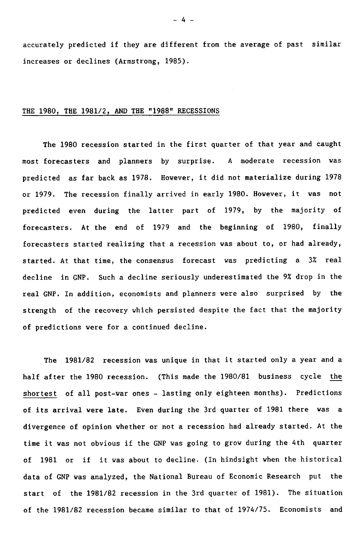accurately predicted if they are different from the average of past similar increases or declines (Armstrong, 1985).

## THE 1980, THE 1981/2, AND THE "1988" RECESSIONS

The 1980 recession started in the first quarter of that year and caught THE 1980, THE 1981/2, AND THE "1988" RECESSIONS<br>THE 1980, THE 1981/2, AND THE "1988" RECESSIONS<br>most forecasters and planners by surprise. A moderate recession was<br>predicted as far back as 1978. However, it did not materia predicted *as far* back as 1978. However, it did not materialize during 1978 or 1979. The recession finally arrived in early 1980. However, it was not predicted even during the latter part of 1979, by the majority of forecasters. At the end of 1979 and the beginning of 1980, finally forecasters started realizing that a recession was about to, or had already, started. At that time, the consensus forecast was predicting a 3% real decline in GNP. Such a decline seriously underestimated the 9% drop in the real GNP. In addition, economists and planners were also surprised by the strength of the recovery which persisted despite the fact that the majority of predictions were for a continued decline.

The 1981/82 recession was unique in that it started only a year and a half after the 1980 recession. (This made the 1980/81 business cycle the shortest of all post-war ones - lasting only eighteen months). Predictions of its arrival were late. Even during the 3rd quarter of 1981 there was a divergence of opinion whether or not a recession had already started. At the time it was not obvious if the GNP was going to grow during the 4th quarter of 1981 or if it was about to decline. (In hindsight when the historical data of GNP was analyzed, the National Bureau of Economic Research put the start of the 1981/82 recession in the 3rd quarter of 1981). The situation of the 1981/82 recession became similar to that of 1974/75. Economists and

- 4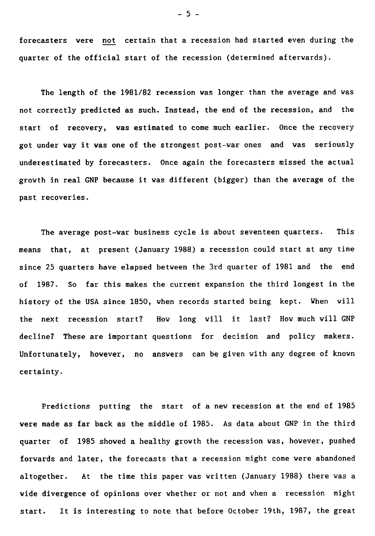forecasters were not certain that a recession had started even during the quarter of the official start of the recession (determined afterwards).

The length of the 1981/82 recession was longer than the average and was not correctly predicted as such. Instead, the end of the recession, and the start of recovery, was estimated to come much earlier. Once the recovery got under way it was one of the strongest post-war ones and was seriously underestimated by forecasters. Once again the forecasters missed the actual growth in real GNP because it was different (bigger) than the average of the past recoveries. or recovery, vas estimated to come much earlier. Once the recovery<br>
nder way it was one of the strongest post-war ones and was seriously<br>
estimated by forecasters. Once again the forecasters missed the actual<br>
h in real GN

means that, at present (January 1988) a recession could start at any time since 25 quarters have elapsed between the 3rd quarter of 1981 and the end of 1987. So far this makes the current expansion the third longest in the history of the USA since 1850, when records started being kept. When will The average post-war business cycle is about seventeen quarters. This<br>means that, at present (January 1988) a recession could start at any time<br>since 25 quarters have elapsed between the 3rd quarter of 1981 and the end<br>of decline? These are important questions for decision and policy makers. Unfortunately, however, no answers can be given with any degree of known certainty.

Predictions putting the start of a new recession at the end of 1985 were made *as far* back as the middle of 1985. As data about GNP in the third quarter of 1985 showed a healthy growth the recession was, however, pushed forwards and later, the forecasts that a recession might come were abandoned Predictions putting the start of a new recession at the end of 1985<br>were made as far back as the middle of 1985. As data about GNP in the third<br>quarter of 1985 showed a healthy growth the recession was, however, pushed<br>for wide divergence of opinions over whether or not and when a recession might reductions putting the start of a new recession at the end of 1985<br>were made as far back as the middle of 1985. As data about GNP in the third<br>quarter of 1985 showed a healthy growth the recession was, however, pushed<br>forw

 $- 5 -$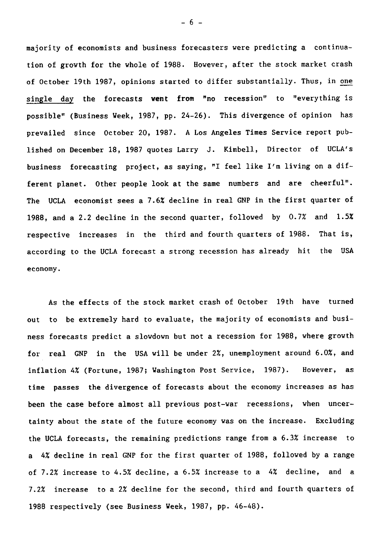majority of economists and business forecasters were predicting a continuation of growth for the whole of 1988. However, after the stock market crash of October 19th 1987, opinions started to differ substantially. Thus, in one single day the forecasts went from "no recession" to "everything is possible" (Business Week, 1987, pp. 24-26). This divergence of opinion has prevailed since October 20, 1987. A Los Angeles Times Service report published on December 18, 1987 quotes Larry J. Kimbell, Director of UCLA's business forecasting project, *as* saying, "I feel like I'm living on a different planet. Other people look at the same numbers and are cheerful". The UCLA economist sees a 7.6% decline in real GNP in the first quarter of 1988, and a 2.2 decline in the second quarter, followed by 0.7% and 1.5% respective increases in the third and fourth quarters of 1988. That is, according to the UCLA forecast a strong recession has already hit the USA economy.

As the effects of the stock market crash of October 19th have turned out to be extremely hard to evaluate, the majority of economists and business forecasts predict a slowdown but not a recession for 1988, where growth for real GNP in the USA will be under 2%, unemployment around 6.0%, and economy.<br>As the effects of the stock market crash of October 19th have turned<br>out to be extremely hard to evaluate, the majority of economists and busi-<br>ness forecasts predict a slowdown but not a recession for 1988, where time passes the divergence of forecasts about the economy increases as has been the case before almost all previous post-war recessions, when uncertainty about the state of the future economy was on the increase. Excluding the UCLA forecasts, the remaining predictions range from a 6.3% increase to a 4% decline in real GNP for the first quarter of 1988, followed by a range of 7.2% increase to 4.5% decline, a 6.5% increase to a 4% decline, and a 7.2% increase to a 2% decline for the second, third and fourth quarters of 1988 respectively (see Business Week, 1987, pp. 46-48).

 $- 6 -$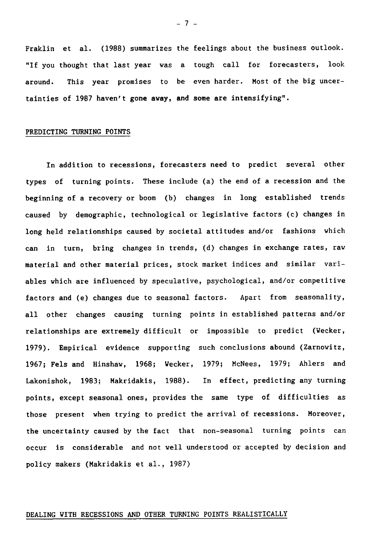Fraklin et al. (1988) summarizes the feelings about the business outlook. "If you thought that last year was a tough call for forecasters, look raklin et al. (1988) summarizes the feelings about the business outlook.<br>"If you thought that last year was a tough call for forecasters, look<br>around. This year promises to be even harder. Most of the big uncer-<br>tainties o tainties of 1987 haven't gone away, and some are intensifying".

## PREDICTING TURNING POINTS

In addition to recessions, forecasters need to predict several other types of turning points. These include (a) the end of a recession and the beginning of a recovery or boom (b) changes in long established trends caused by demographic, technological or legislative factors (c) changes in long held relationships caused by societal attitudes and/or fashions which can in turn, bring changes in trends, (d) changes in exchange rates, raw material and other material prices, stock market indices and similar variables which are influenced by speculative, psychological, and/or competitive deeparating or a recovery or boom (b) changes in long established trends<br>caused by demographic, technological or legislative factors (c) changes in<br>long held relationships caused by societal attitudes and/or fashions which all other changes causing turning points in established patterns and/or relationships are extremely difficult or impossible to predict (Wecker, 1979). Empirical evidence supporting such conclusions abound (Zarnowitz, 1967; Fels and Hinshaw, 1968; Wecker, 1979; McNees, 1979; Ahlers and Ables which are influenced by speculative, psychological, and/of competitive<br>factors and (e) changes causing turning points in established patterns and/or<br>relationships are extremely difficult or impossible to predict (Vec points, except seasonal ones, provides the same type of difficulties as those present when trying to predict the arrival of recessions. Moreover, the uncertainty caused by the fact that non-seasonal turning points can occur is considerable and not well understood or accepted by decision and policy makers (Makridakis et al., 1987)

#### $-7 -$

### DEALING WITH RECESSIONS AND OTHER TURNING POINTS REALISTICALLY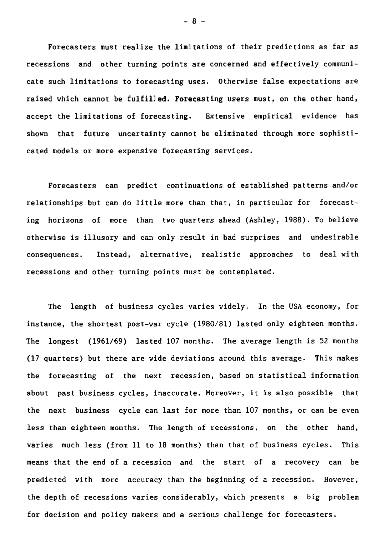Forecasters must realize the limitations of their predictions as far as recessions and other turning points are concerned and effectively communicate such limitations to forecasting uses. Otherwise false expectations are raised which cannot be fulfilled. Forecasting users must, on the other hand,  $-8$  -<br>Forecasters must realize the limitations of their predictions as far as<br>recessions and other turning points are concerned and effectively communi-<br>cate such limitations to forecasting uses. Otherwise false expectat shown that future uncertainty cannot be eliminated through more sophisticated models or more expensive forecasting services.

Forecasters can predict continuations of established patterns and/or relationships but can do little more than that, in particular for forecasting horizons of more than two quarters ahead (Ashley, 1988). To believe otherwise is illusory and can only result in bad surprises and undesirable Forecasters can predict continuations of established patterns and/or<br>relationships but can do little more than that, in particular for forecast-<br>ing horizons of more than two quarters ahead (Ashley, 1988). To believe<br>other recessions and other turning points must be contemplated.

The length of business cycles varies widely. In the USA economy, for instance, the shortest post-war cycle (1980/81) lasted only eighteen months. The longest (1961/69) lasted 107 months. The average length is 52 months (17 quarters) but there are wide deviations around this average. This makes the forecasting of the next recession, based on statistical information about past business cycles, inaccurate. Moreover, it is also possible that the next business cycle can last for more than 107 months, or can be even less than eighteen months. The length of recessions, on the other hand, varies much less (from 11 to 18 months) than that of business cycles. This means that the end of a recession and the start of a recovery can be predicted with more accuracy than the beginning of a recession. However, the depth of recessions varies considerably, which presents a big problem for decision and policy makers and a serious challenge for forecasters.

 $- 8 -$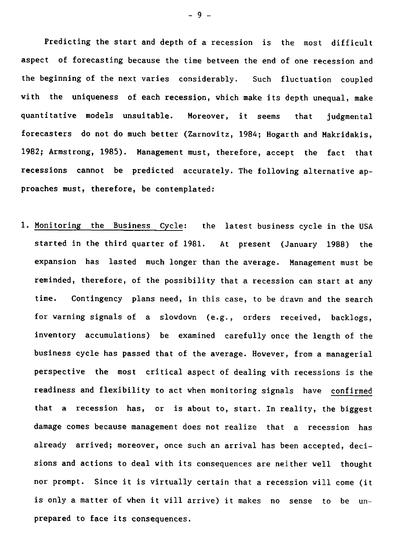Predicting the start and depth of a recession is the most difficult aspect of forecasting because the time between the end of one recession and Predicting the start and depth of a recession is the most difficult<br>aspect of forecasting because the time between the end of one recession and<br>the beginning of the next varies considerably. Such fluctuation coupled<br>with with the uniqueness of each recession, which make its depth unequal, make redicting the start and depth of a recession is the most difficult<br>aspect of forecasting because the time between the end of one recession and<br>the beginning of the next varies considerably. Such fluctuation coupled<br>with th forecasters do not do much better (Zarnowitz, 1984; Hogarth and Makridakis, 1982; Armstrong, 1985). Management must, therefore, accept the fact that recessions cannot be predicted accurately. The following alternative approaches must, therefore, be contemplated: dominizative models disditable. Moreover, it seems that judgmental<br>forecasters do not do much better (Zarnowitz, 1984; Hogarth and Makridakis,<br>1982; Armstrong, 1985). Management must, therefore, accept the fact that<br>recess

ecasters do not do much better (Zarnowitz, 1964; hogarth and makridakis,<br>2; Armstrong, 1985). Management must, therefore, accept the fact that<br>essions cannot be predicted accurately. The following alternative ap-<br>aches mus expansion has lasted much longer than the average. Management must be reminded, therefore, of the possibility that a recession can start at any Monitoring the Business Cycle: the latest business cycle in the USA<br>started in the third quarter of 1981. At present (January 1988) the<br>expansion has lasted much longer than the average. Management must be<br>reminded, theref for warning signals of a slowdown (e.g., orders received, backlogs, inventory accumulations) be examined carefully once the length of the business cycle has passed that of the average. However, from a managerial perspective the most critical aspect of dealing with recessions is the readiness and flexibility to act when monitoring signals have confirmed that a recession has, or is about to, start. In reality, the biggest damage comes because management does not realize that a recession has already arrived; moreover, once such an arrival has been accepted, decisions and actions to deal with its consequences are neither well thought nor prompt. Since it is virtually certain that a recession will come (it is only a matter of when it will arrive) it makes no sense to be unprepared to face its consequences.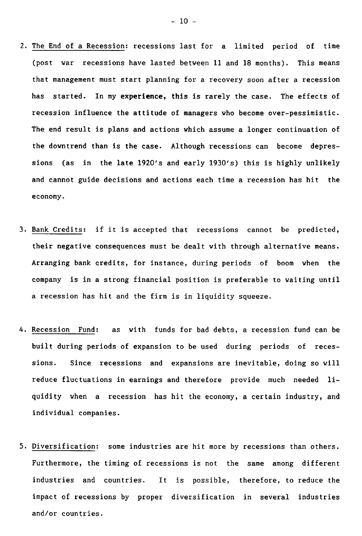- 2. The End of a Recession: recessions last for a limited period of time (post war recessions have lasted between 11 and 18 months). This means that management must start planning for a recovery soon after a recession has started. In my experience, this is rarely the case. The effects of recession influence the attitude of managers who become over-pessimistic. The end result is plans and actions which assume a longer continuation of the downtrend than is the case. Although recessions can become depressions (as in the late 1920's and early 1930's) this is highly unlikely and cannot guide decisions and actions each time a recession has hit the economy.
- 3. Bank Credits: if it is accepted that recessions cannot be predicted, their negative consequences must be dealt with through alternative means. Arranging bank credits, for instance, during periods of boom when the company is in a strong financial position is preferable to waiting until a recession has hit and the firm is in liquidity squeeze.
- 4. Recession Fund: as with funds for bad debts, a recession fund can be built during periods of expansion to be used during periods of recessions. Since recessions and expansions are inevitable, doing so will reduce fluctuations in earnings and therefore provide much needed liquidity when a recession has hit the economy, a certain industry, and individual companies.
- 5. Diversification: some industries are hit more by recessions than others. Furthermore, the timing of recessions is not the same among different industries and countries. It is possible, therefore, to reduce the impact of recessions by proper diversification in several industries and/or countries.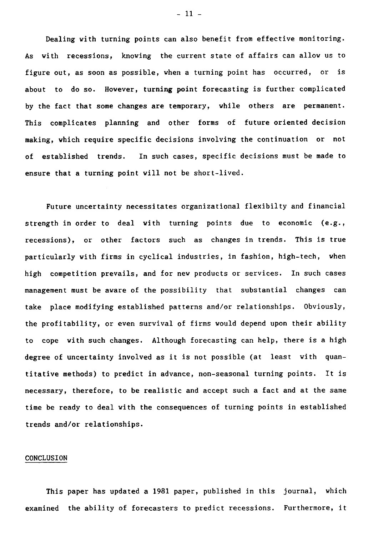Dealing with turning points can also benefit from effective monitoring. As with recessions, knowing the current state of affairs can allow us to figure out, as soon as possible, when a turning point has occurred, or is about to do so. However, turning point forecasting is further complicated by the fact that some changes are temporary, while others are permanent. This complicates planning and other forms of future oriented decision making, which require specific decisions involving the continuation or not of established trends. In such cases, specific decisions must be made to ensure that a turning point will not be short-lived.

Future uncertainty necessitates organizational flexibilty and financial strength in order to deal with turning points due to economic (e.g., recessions), or other factors such as changes in trends. This is true particularly with firms **in** cyclical industries, in fashion, high-tech, when high competition prevails, and for new products or services. In such cases management must be aware of the possibility that substantial changes can take place modifying established patterns and/or relationships. Obviously, the profitability, or even survival of firms would depend upon their ability to cope with such changes. Although forecasting can help, there is a high degree of uncertainty involved *as* it is not possible (at least with quantitative methods) to predict in advance, non-seasonal turning points. It is necessary, therefore, to be realistic and accept such a fact and at the same time be ready to deal with the consequences of turning points in established trends and/or relationships.

### CONCLUSION

This paper has updated a 1981 paper, published in this journal, which examined the ability of forecasters to predict recessions. Furthermore, it

 $-11 -$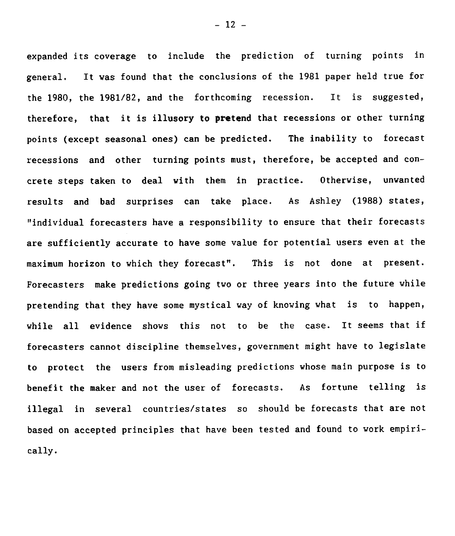expanded its coverage to include the prediction of turning points in - 12 -<br>expanded its coverage to include the prediction of turning points in<br>general. It was found that the conclusions of the 1981 paper held true for<br>the 1980, the 1981/82, and the forthcoming recession. It is suggested,<br> - 12 -<br>expanded its coverage to include the prediction of turning points if<br>general. It was found that the conclusions of the 1981 paper held true for<br>the 1980, the 1981/82, and the forthcoming recession. It is suggested,<br> therefore, that it is illusory to pretend that recessions or other turning - 12 -<br>expanded its coverage to include the prediction of turning points in<br>general. It was found that the conclusions of the 1981 paper held true for<br>the 1980, the 1981/82, and the forthcoming recession. It is suggested,<br> recessions and other turning points must, therefore, be accepted and conexpanded its coverage to include the prediction of turning points in<br>general. It was found that the conclusions of the 1981 paper held true for<br>the 1980, the 1981/82, and the forthcoming recession. It is suggested,<br>therefo general. It was round that the conclusions of the 1961 paper herd true for<br>the 1980, the 1981/82, and the forthcoming recession. It is suggested,<br>therefore, that it is illusory to pretend that recessions or other turning<br>p "individual forecasters have a responsibility to ensure that their forecasts are sufficiently accurate to have some value for potential users even at the points (except seasonal ones) can be predicted. The inability to forecast<br>recessions and other turning points must, therefore, be accepted and con-<br>crete steps taken to deal with them in practice. Otherwise, unwanted<br>resul Forecasters make predictions going two or three years into the future while pretending that they have some mystical way of knowing what is to happen, while all evidence shows this not to be the case. It seems that if forecasters cannot discipline themselves, government might have to legislate to protect the users from misleading predictions whose main purpose is to maximum norizon to which they iorecast". Inis is not done at present.<br>Forecasters make predictions going two or three years into the future while<br>pretending that they have some mystical way of knowing what is to happen,<br>wh illegal in several countries/states so should be forecasts that are not based on accepted principles that have been tested and found to work empirically.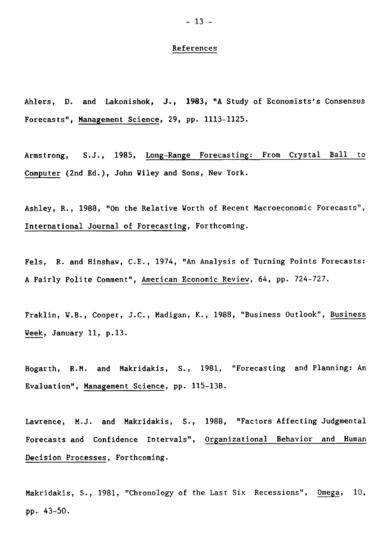### References

Ahlers, D. and Lakonishok, J., 1983, "A Study of Economists's Consensus Forecasts", Management Science, 29, pp. 1113-1125. Ahlers, D. and Lakonishok, J., 1983, "A Study of Economists's Consensus<br>Forecasts", <u>Management Science</u>, 29, pp. 1113–1125.<br>Armstrong, S.J., 1985, <u>Long-Range Forecasting: From Crystal Ball to</u><br>Computer (2nd Ed.), John Wi

Computer (2nd Ed.), John Wiley and Sons, New York.

Ashley, R., 1988, "On the Relative Worth of Recent Macroeconomic Forecasts", International Journal of Forecasting, Forthcoming.

Fels, R. and Hinshaw, C.E., 1974, "An Analysis of Turning Points Forecasts: A Fairly Polite Comment", American Economic Review, 64, pp. 724-727.

Fraklin, W.B., Cooper, J.C., Madigan, K., 1988, "Business Outlook", Business Week, January 11, p.13.

Hogarth, R.M. and Makridakis, S., 1981, "Forecasting and Planning: An Evaluation", Management Science, pp. 115-138.

Lawrence, M.J. and Makridakis, S., 1988, "Factors Affecting Judgmental Forecasts and Confidence Intervals", Organizational Behavior and Human Decision Processes, Forthcoming.

Makridakis, S., 1981, "Chronology of the Last Six Recessions", Omega, 10, pp. 43-50.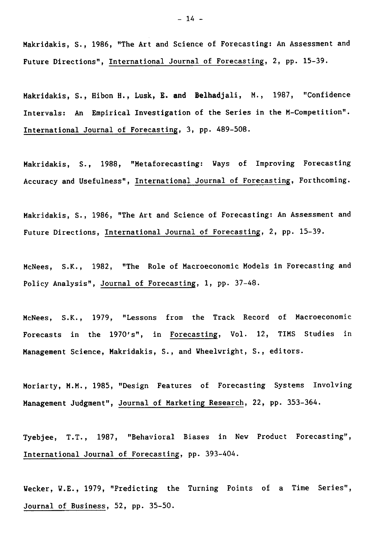Makridakis, S., 1986, "The Art and Science of Forecasting: An Assessment and Future Directions", International Journal of Forecasting, 2, pp. 15-39.

Makridakis, S., Hibon H., Lusk, E. and Belhadjali, M., 1987, "Confidence Intervals: An Empirical Investigation of the Series in the M-Competition". International Journal of Forecasting, 3, pp. 489-508.

Makridakis, S., 1988, "Metaforecasting: Ways of Improving Forecasting Accuracy and Usefulness", International Journal of Forecasting, Forthcoming.

Makridakis, S., 1986, "The Art and Science of Forecasting: An Assessment and Future Directions, International Journal of Forecasting, 2, pp. 15-39.

McNees, S.K., 1982, "The Role of Macroeconomic Models in Forecasting and Policy Analysis", Journal of Forecasting, 1, pp. 37-48.

McNees, S.K., 1979, "Lessons from the Track Record of Macroeconomic Forecasts in the 1970's", in Forecasting, Vol. 12, TIMS Studies in Management Science, Makridakis, S., and Wheelwright, S., editors.

Moriarty, M.M., 1985, "Design Features of Forecasting Systems Involving Management Judgment", Journal of Marketing Research, 22, pp. 353-364.

Tyebjee, T.T., 1987, "Behavioral Biases in New Product Forecasting", International Journal of Forecasting, pp. 393-404.

Wecker, W.E., 1979, "Predicting the Turning Points of a Time Series", Journal of Business, 52, pp. 35-50.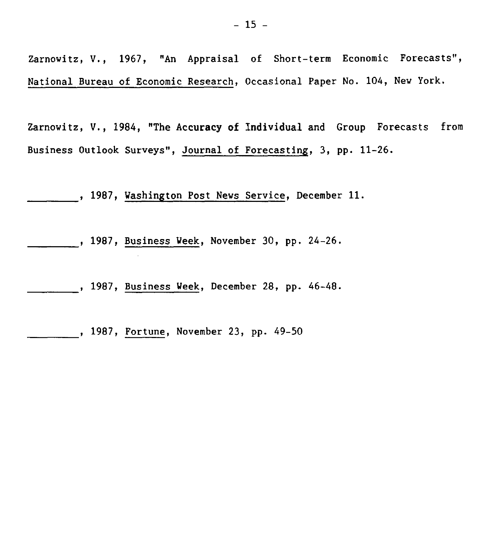Zarnowitz, V., 1967, "An Appraisal of Short-term Economic Forecasts", National Bureau of Economic Research, Occasional Paper No. 104, New York.

Zarnowitz, V., 1984, "The Accuracy of Individual and Group Forecasts from Business Outlook Surveys", Journal of Forecasting, 3, pp. 11-26.

, 1987, Washington Post News Service, December 11.

, 1987, Business Week, November 30, pp. 24-26.

, 1987, Business Week, December 28, pp. 46-48.

, 1987, Fortune, November 23, pp. 49-50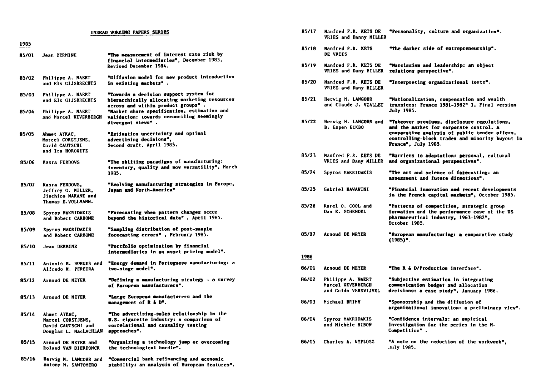#### **INSEAD VORKING PAPERS SERIES**

| THORUM ANNOTA THEMS |                                                                                   |                                                                                                                                               |  |
|---------------------|-----------------------------------------------------------------------------------|-----------------------------------------------------------------------------------------------------------------------------------------------|--|
| 1985                |                                                                                   |                                                                                                                                               |  |
| 85/01               | Jean DERMINE                                                                      | "The measurement of interest rate risk by<br>financial intermediaries", December 1983,<br><b>Revised December 1984.</b>                       |  |
| 85/02               | Philippe A. NAERT<br>and Els GIJSBRECHTS                                          | "Diffusion model for new product introduction<br>in existing markets".                                                                        |  |
| 85/03               | Philippe A. NAERT<br>and Els GIJSBRECHTS                                          | "Towards a decision support system for<br>hierarchically allocating marketing resources<br>across and within product groups".                 |  |
| 85/04               | Philippe A. NAERT<br>and Marcel VEVERBERGH                                        | "Market share specification, estimation and<br>validation: towards reconciling seemingly<br>divergent views".                                 |  |
| 85/05               | Ahmet AYKAC,<br>Marcel CORSTJENS.<br>David GAUTSCHI<br>and Ira HOROVITZ           | "Estimation uncertainty and optimal<br>advertising decisions",<br>Second draft, April 1985.                                                   |  |
| 85/06               | Kasra FERDOWS                                                                     | "The shifting paradigms of manufacturing:<br>inventory, quality and now versatility", March<br>1985.                                          |  |
| 85/07               | Kasra FERDOVS,<br>Jeffrey G. MILLER,<br>Jinchiro NAKANE and<br>Thomas E.VOLLMANN. | "Evolving manufacturing strategies in Europe,<br>Japan and North-America"                                                                     |  |
| 85/08               | Spyros MAKRIDAKIS<br>and Robert CARBONE                                           | "Porecasting when pattern changes occur<br>beyond the historical data", April 1985.                                                           |  |
| 85/09               | Spyros MAKRIDAKIS<br>and Robert CARBONE                                           | "Sampling distribution of post-sample<br>forecasting errors", February 1985.                                                                  |  |
| 85/10               | Jean DERMINE                                                                      | "Portfolio optimization by financial<br>intermediaries in an asset pricing model".                                                            |  |
| 85/11               | Antonio M. BORGES and<br>Alfredo M. PEREIRA                                       | "Energy demand in Portuguese manufacturing: a<br>tvo-stage model".                                                                            |  |
| 85/12               | Arnoud DE MEYER                                                                   | "Defining a manufacturing strategy - a survey<br>of European manufacturers".                                                                  |  |
| 85/13               | Arnoud DE MEYER                                                                   | "Large European manufacturers and the<br>management of R & D".                                                                                |  |
| 85/14               | Ahmet AYKAC,<br>Marcel CORSTJENS,<br>David GAUTSCHI and<br>Douglas L. MacLACHLAN  | "The advertising-sales relationship in the<br>U.S. cigarette industry: a comparison of<br>correlational and causality testing<br>approaches". |  |
| 85/15               | Arnoud DE MEYER and<br>Roland VAN DIERDONCK                                       | "Organizing a technology jump or overcoming<br>the technological hurdle".                                                                     |  |
| 85/16               | Hervig M. LANGOHR and<br>Antony M. SANTOMERO                                      | <b>"Commercial bank refinancing and economic</b><br>stability: an analysis of European features".                                             |  |

| 85/17 | Manfred F.R. KETS DE<br>VRIES and Danny MILLER                 | "Personality, culture and organization".                                                                                                                                                                          |
|-------|----------------------------------------------------------------|-------------------------------------------------------------------------------------------------------------------------------------------------------------------------------------------------------------------|
| 85/18 | Manfred F.R. KETS<br>DE VRIES                                  | "The darker side of entrepreneurship".                                                                                                                                                                            |
| 85/19 | Manfred F.R. KETS DE<br><b>VRIES and Dany MILLER</b>           | "Narcissism and leadership: an object<br>relations perspective".                                                                                                                                                  |
| 85/20 | Manfred F.R. KETS DE<br>VRIES and Dany MILLER                  | "Interpreting organizational texts".                                                                                                                                                                              |
| 85/21 | Hervig M. LANGOHR<br>and Claude J. VIALLET                     | "Nationalization, compensation and vealth<br>transfers: Prance 1981-1982" 1, Final version<br>July 1985.                                                                                                          |
| 85/22 | Hervig M. LANGOHR and<br>B. Espen ECKBO                        | "Takeover premiums, disclosure regulations,<br>and the market for corporate control. A<br>comparative analysis of public tender offers,<br>controlling-block trades and minority buyout in<br>France", July 1985. |
| 85/23 | Manfred F.R. KETS DE<br>VRIES and Dany MILLER                  | "Barriers to adaptation: personal, cultural<br>and organizational perspectives".                                                                                                                                  |
| 85/24 | Spyros MAKRIDAKIS                                              | "The art and science of forecasting: an<br>assessment and future directions".                                                                                                                                     |
| 85/25 | <b>Gabriel HAWAWINI</b>                                        | "Pinancial innovation and recent developments<br>in the French capital markets", October 1985.                                                                                                                    |
| 85/26 | Karel O. COOL and<br>Dan E. SCHENDEL                           | "Patterns of competition, strategic group<br>formation and the performance case of the US<br>pharmaceutical industry, 1963-1982",<br>October 1985.                                                                |
| 85/27 | Arnoud DE HEYER                                                | "European manufacturing: a comparative study<br>$(1985)$ ".                                                                                                                                                       |
| 1986  |                                                                |                                                                                                                                                                                                                   |
| 86/01 | Arnoud DE MEYER                                                | "The R & D/Production interface".                                                                                                                                                                                 |
| 86/02 | Philippe A. NAERT<br>Marcel VEVERBERGH<br>and Guido VERSWIJVEL | "Subjective estimation in integrating<br>communication budget and allocation<br>decisions: a case study", January 1986.                                                                                           |
| 86/03 | Michael BRIMM                                                  | "Sponsorship and the diffusion of<br>organizational innovation: a preliminary view".                                                                                                                              |
| 86/04 | Spyros MAKRIDAKIS<br>and Michèle HIBON                         | "Confidence intervals: an empirical<br>investigation for the series in the M-<br>Competition".                                                                                                                    |
| 86/05 | Charles A. WYPLOSZ                                             | "A note on the reduction of the vorkveek",<br>July 1985.                                                                                                                                                          |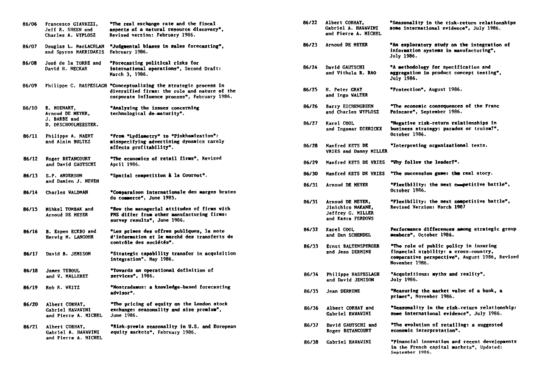| 86/06 | Francesco GIAVAZZI,<br>Jeff R. SHEEN and<br>Charles A. WYPLOSZ         | "The real exchange rate and the fiscal<br>aspects of a natural resource discovery",<br><b>Revised version: February 1986.</b>                                     |
|-------|------------------------------------------------------------------------|-------------------------------------------------------------------------------------------------------------------------------------------------------------------|
| 86/07 | Douglas L. MacLACHLAN<br>and Spyros MAKRIDAKIS                         | "Judgmental biases in sales forecasting",<br>February 1986.                                                                                                       |
| 86/08 | José de la TORRE and<br>David H. NECKAR                                | "Porecasting political risks for<br>international operations", Second Draft:<br>March 3. 1986.                                                                    |
| 86/09 |                                                                        | Philippe C. HASPESLAGH "Conceptualizing the strategic process in<br>diversified firms: the role and nature of the<br>corporate influence process", February 1986. |
| 86/10 | R. MOENART,<br>Arnoud DE MEYER.<br>J. BARBE and<br>D. DESCHOOLMEESTER. | "Analysing the issues concerning<br>technological de-maturity".                                                                                                   |
| 86/11 | Philippe A. NAERT<br>and Alain BULTEZ                                  | "From "Lydiametry" to "Pinkhamization":<br>misspecifying advertising dynamics rarely<br>affects profitability".                                                   |
| 86/12 | Roger BETANCOURT<br>and David GAUTSCHI                                 | "The economics of retail firms", Revised<br>April 1986.                                                                                                           |
| 86/13 | S.P. ANDERSON<br>and Damien J. NEVEN                                   | "Spatial competition à la Cournot".                                                                                                                               |
| 86/14 | <b>Charles VALDMAN</b>                                                 | "Comparaison internationale des marges brutes<br>du commerce", June 1985.                                                                                         |
| 86/15 | Mihkel TOMBAK and<br>Arnoud DE MEYER                                   | "How the managerial attitudes of firms with<br>PMS differ from other manufacturing firms:<br>survey results", June 1986.                                          |
| 86/16 | <b>B.</b> Espen ECKBO and<br>Hervig M. LANGOHR                         | "Les primes des offres publiques, la note<br>d'information et le marché des transferts de<br>contrôle des sociétés".                                              |
| 86/17 | David B. JEMISON                                                       | "Strategic capability transfer in acquisition<br>integration", May 1986.                                                                                          |
| 86/18 | <b>James TEBOUL</b><br>and V. MALLERET                                 | "Towards an operational definition of<br>services", 1986.                                                                                                         |
| 86/19 | Rob R. WEITZ                                                           | "Nostradamus: a knowledge-based forecasting<br>advisor".                                                                                                          |
| 86/20 | Albert CORHAY,<br>Gabriel HAVAVINI<br>and Pierre A. MICHEL             | "The pricing of equity on the London stock<br>exchange: seasonality and size premium",<br>June 1986.                                                              |
| 86/21 | Albert CORHAY,<br>Gabriel A. HAVAVINI<br>and Pierre A. MICHEL          | "Risk-premia seasonality in U.S. and European<br>equity markets". February 1986.                                                                                  |

| 86/22 | Albert CORHAY,<br>Gabriel A. HAWAWINI<br>and Pierre A. MICHEL                   | "Seasonality in the risk-return relationships<br>some international evidence", July 1986.                                                                   |
|-------|---------------------------------------------------------------------------------|-------------------------------------------------------------------------------------------------------------------------------------------------------------|
| 86/23 | Arnoud DE MEYER                                                                 | "An exploratory study on the integration of<br>information systems in manufacturing",<br><b>July 1986.</b>                                                  |
| 86/24 | David GAUTSCHI<br>and Vithala R. RAO                                            | "A methodology for specification and<br>aggregation in product concept testing",<br>July 1986.                                                              |
| 86/25 | <b>H. Peter GRAY</b><br>and Ingo WALTER                                         | "Protection", August 1986.                                                                                                                                  |
| 86/26 | Barry EICHENGREEN<br>and Charles WYPLOSZ                                        | "The economic consequences of the Franc<br>Poincare", September 1986.                                                                                       |
| 86/27 | Karel COOL<br>and Ingemar DIERICKX                                              | "Negative risk-return relationships in<br>business strategy: paradox or truism?",<br>October 1986.                                                          |
| 86/28 | Manfred KETS DE<br>VRIES and Danny MILLER                                       | "Interpreting organizational texts.                                                                                                                         |
| 86/29 | Manfred KETS DE VRIES                                                           | "Why follow the leader?".                                                                                                                                   |
| 86/30 | Manfred KETS DE VRIES                                                           | "The succession game: the real story.                                                                                                                       |
| 86/31 | Arnoud DE MEYER                                                                 | "Plexibility: the next competitive battle",<br>October 1986.                                                                                                |
| 86/31 | Arnoud DE MEYER,<br>Jinichiro NAKANE.<br>Jeffrey G. MILLER<br>and Kasra FERDOVS | "Flexibility: the next competitive battle",<br>Revised Version: March 1987                                                                                  |
| 86/32 | Karel COOL<br>and Dan SCHENDEL                                                  | Performance differences among strategic group<br>members", October 1986.                                                                                    |
| 86/33 | <b>Ernst BALTENSPERGER</b><br>and Jean DERMINE                                  | "The role of public policy in insuring<br>financial stability: a cross-country,<br><b>comparative perspective", A</b> ugust 1986, Revised<br>November 1986. |
| 86/34 | Philippe HASPESLAGH<br>and David JEMISON                                        | "Acquisitions: myths and reality",<br><b>July 1986.</b>                                                                                                     |
| 86/35 | Jean DERMINE                                                                    | "Measuring the market value of a bank, a<br>primer", November 1986.                                                                                         |
| 86/36 | Albert CORHAY and<br><b>Gabriel HAVAVINI</b>                                    | "Seasonality in the risk-return relationship:<br>some international evidence", July 1986.                                                                   |
| 86/37 | David GAUTSCHI and<br>Roger BETANCOURT                                          | "The evolution of retailing: a suggested<br>economic interpretation".                                                                                       |
| 86/38 | <b>Gabriel HAVAVINI</b>                                                         | "Pinancial innovation and recent developments<br>in the French capital markets", Updated:<br>September 1986.                                                |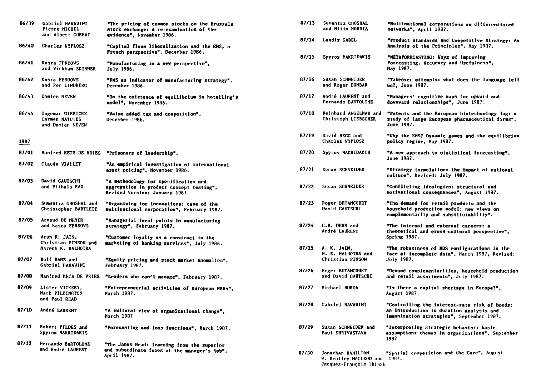| 86/39 | <b>Gabriel HAVAVINI</b><br>Pierre MICHEL<br>and Albert CORHAY | "The pricing of common stocks on the Brussels<br>stock exchange: a re-examination of the<br>evidence", November 1986. |
|-------|---------------------------------------------------------------|-----------------------------------------------------------------------------------------------------------------------|
| 86/40 | <b>Charles WYPLOSZ</b>                                        | "Capital flows liberalization and the EMS, a<br>French perspective", December 1986.                                   |
| 86/41 | Kasra FERDOVS<br>and Vickham SKINNER                          | "Manufacturing in a nev perspective",<br>July 1986.                                                                   |
| 86/42 | <b>Kasra FERDOVS</b><br>and Per LINDBERG                      | "PMS as indicator of manufacturing strategy",<br>December 1986.                                                       |
| 86/43 | Damien NEVEN                                                  | "On the existence of equilibrium in hotelling's<br>model", November 1986.                                             |
| 86/44 | Ingemar DIERICKX<br>Carmen MATUTES<br>and Damien NEVEN        | "Value added tax and competition",<br>December 1986.                                                                  |
| 1987  |                                                               |                                                                                                                       |
| 87/01 | Manfred KETS DE VRIES                                         | "Prisoners of leadership".                                                                                            |
| 87/02 | Claude VIALLET                                                | "An empirical investigation of international<br>asset pricing", November 1986.                                        |
| 87/03 | David GAUTSCHI<br>and Vithala RAO                             | "A methodology for specification and<br>aggregation in product concept testing",<br>Revised Version: January 1987.    |
| 87/04 | Sumantra GHOSHAL and<br>Christopher BARTLETT                  | "Organizing for innovations: case of the<br>sultinational corporation", February 1987.                                |
| 87/05 | Arnoud DE MEYER<br>and Kasra FERDOWS                          | "Managerial focal points in manufacturing<br>strategy", February 1987.                                                |
| 87/06 | Arun K. JAIN,<br>Christian PINSON and<br>Naresh K. MALHOTRA   | "Customer loyalty as a construct in the<br>marketing of banking services", July 1986.                                 |
| 87/07 | Rolf BANZ and<br><b>Gabriel HAVAVINI</b>                      | "Equity pricing and stock market anomalies",<br>February 1987.                                                        |
| 87/08 | Manfred KETS DE VRIES                                         | "Leaders who can't manage", February 1987.                                                                            |
| 87/09 | Lister VICKERY.<br>Mark PILKINGTON<br>and Paul READ           | "Entrepreneurial activities of European MBAs",<br>March 1987.                                                         |
| 87/10 | André LAURENT                                                 | "A cultural view of organizational change",<br>March 1987                                                             |
| 87/11 | Robert FILDES and<br>Spyros MAKRIDAKIS                        | "Porecasting and loss functions", March 1987.                                                                         |
| 87/12 | Fernando BARTOLOME                                            | "The Janus Head: learning from the superior                                                                           |

and André LAURENT

| "The pricing of common stocks on the Brussels<br>stock exchange: a re-examination of the<br>evidence", November 1986.                 | 87/13 | Sumantra GHOSHAL<br>and Nitin NOHRIA                                         | "Hultinational corporations as differentiated<br>networks", April 1987.                                                                |
|---------------------------------------------------------------------------------------------------------------------------------------|-------|------------------------------------------------------------------------------|----------------------------------------------------------------------------------------------------------------------------------------|
| "Capital flows liberalization and the EMS, a                                                                                          | 87/14 | Landis GABEL                                                                 | "Product Standards and Competitive Strategy: An<br>Analysis of the Principles", May 1987.                                              |
| French perspective", December 1986.<br>"Manufacturing in a new perspective",<br>July 1986.                                            | 87/15 | Spyros MAKRIDAKIS                                                            | "METAPORECASTING: Ways of improving<br>Forecasting. Accuracy and Usefulness",<br>May 1987.                                             |
| "PMS as indicator of manufacturing strategy",<br>December 1986.                                                                       | 87/16 | Susan SCHNEIDER<br>and Roger DUNBAR                                          | "Takeover attempts: what does the language tell<br>us?, June 1987.                                                                     |
| "On the existence of equilibrium in hotelling's<br>model", November 1986.                                                             | 87/17 | André LAURENT and<br><b>Fernando BARTOLOME</b>                               | "Managers' cognitive maps for upvard and<br>downward relationships", June 1987.                                                        |
| "Value added tax and competition",<br>December 1986.                                                                                  | 87/18 | Reinhard ANGELMAR and<br>Christoph LIEBSCHER                                 | "Patents and the European biotechnology lag: a<br>study of large European pharmaceutical firms",<br><b>June 1987.</b>                  |
|                                                                                                                                       | 87/19 | David BEGG and<br><b>Charles WYPLOSZ</b>                                     | "Vhy the EMS? Dynamic games and the equilibrium<br>policy regime, May 1987.                                                            |
| "Prisoners of leadership".                                                                                                            | 87/20 | Spyros MAKRIDAKIS                                                            | "A new approach to statistical forecasting",<br>June 1987.                                                                             |
| "An empirical investigation of international<br>asset pricing", November 1986.                                                        | 87/21 | Susan SCHNEIDER                                                              | "Strategy formulation: the impact of national<br>culture", Revised: July 1987.                                                         |
| "A methodology for specification and<br>aggregation in product concept testing",<br><b>Revised Version: January 1987.</b>             | 87/22 | Susan SCHNEIDER                                                              | "Conflicting ideologies: structural and<br>motivational consequences", August 1987.                                                    |
| "Organizing for innovations: case of the<br>sultinational corporation", February 1987.                                                | 87/23 | Roger BETANCOURT<br>David GAUTSCHI                                           | "The demand for retail products and the<br>household production model: new views on<br>complementarity and substitutability".          |
| "Managerial focal points in manufacturing<br>strategy", February 1987.                                                                | 87/24 | C.B. DERR and<br>André LAURENT                                               | "The internal and external careers: a<br>theoretical and cross-cultural perspective",                                                  |
| "Customer loyalty as a construct in the<br>marketing of banking services", July 1986.<br>"Equity pricing and stock market anomalies". | 87/25 | A. K. JAIN,<br>N. K. MALHOTRA and<br>Christian PINSON                        | Spring 1987.<br>"The robustness of MDS configurations in the<br>face of incomplete data", March 1987, Revised:<br>July 1987.           |
| February 1987.<br>"Leaders who can't manage", February 1987.                                                                          | 87/26 | Roger BETANCOURT<br>and David GAUTSCHI                                       | "Demand complementarities, household production<br>and retail assortments", July 1987.                                                 |
| "Entrepreneurial activities of European MBAs".<br><b>March 1987.</b>                                                                  | 87/27 | Michael BURDA                                                                | "Is there a capital shortage in Europe?",<br>August 1987.                                                                              |
| "A cultural view of organizational change",<br>March 1987                                                                             | 87/28 | Gabriel HAVAVINI                                                             | "Controlling the interest-rate risk of bonds:<br>an introduction to duration analysis and<br>immunization strategies", September 1987. |
| "Forecasting and loss functions", March 1987.                                                                                         | 87/29 | Susan SCHNEIDER and<br>Paul SHRIVASTAVA                                      | "Interpreting strategic behavior: basic<br>assumptions themes in organizations", September<br>1987                                     |
| "The Janus Head: learning from the superior<br>and subordinate faces of the manager's job",<br>April 1987.                            | 87/30 | Jonathan HAMILTON<br>W. Bentley MACLEOD and 1987.<br>Jacques-François THISSE | "Spatial competition and the Core", August                                                                                             |